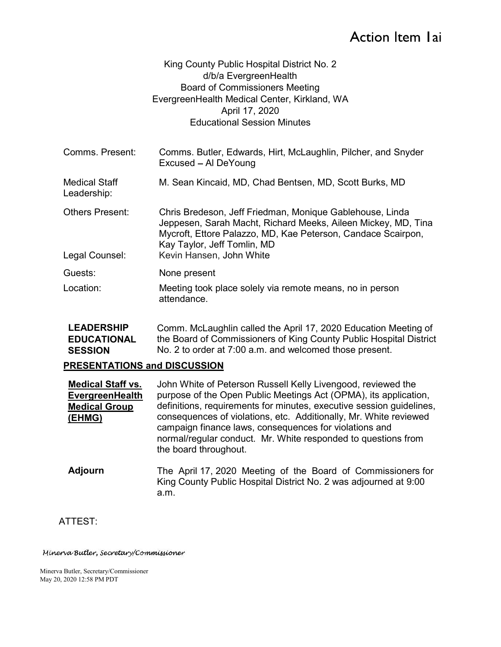# Action Item Iai

### King County Public Hospital District No. 2 d/b/a EvergreenHealth Board of Commissioners Meeting EvergreenHealth Medical Center, Kirkland, WA April 17, 2020 Educational Session Minutes

- Comms. Present: Comms. Butler, Edwards, Hirt, McLaughlin, Pilcher, and Snyder Excused - Al DeYoung Medical Staff Leadership: M. Sean Kincaid, MD, Chad Bentsen, MD, Scott Burks, MD Others Present: Chris Bredeson, Jeff Friedman, Monique Gablehouse, Linda Jeppesen, Sarah Macht, Richard Meeks, Aileen Mickey, MD, Tina Mycroft, Ettore Palazzo, MD, Kae Peterson, Candace Scairpon, Kay Taylor, Jeff Tomlin, MD Legal Counsel: Kevin Hansen, John White
- Guests: None present
- Location: Meeting took place solely via remote means, no in person attendance.
- LEADERSHIP EDUCATIONAL SESSION Mo. 2 to order at 7:00 a.m. and welcomed those present. Comm. McLaughlin called the April 17, 2020 Education Meeting of the Board of Commissioners of King County Public Hospital District

#### PRESENTATIONS and DISCUSSION

| <b>Medical Staff vs.</b> | John White of Peterson Russell Kelly Livengood, reviewed the                                                                                                                                                          |
|--------------------------|-----------------------------------------------------------------------------------------------------------------------------------------------------------------------------------------------------------------------|
| EvergreenHealth          | purpose of the Open Public Meetings Act (OPMA), its application,                                                                                                                                                      |
| <b>Medical Group</b>     | definitions, requirements for minutes, executive session quidelines,                                                                                                                                                  |
| (EHMG)                   | consequences of violations, etc. Additionally, Mr. White reviewed<br>campaign finance laws, consequences for violations and<br>normal/regular conduct. Mr. White responded to questions from<br>the board throughout. |

Adjourn The April 17, 2020 Meeting of the Board of Commissioners for King County Public Hospital District No. 2 was adjourned at 9:00 a.m.

## ATTEST:

#### Minerva Butler, Secretary/Commissioner

 Minerva Butler, Secretary/Commissioner May 20, 2020 12:58 PM PDT